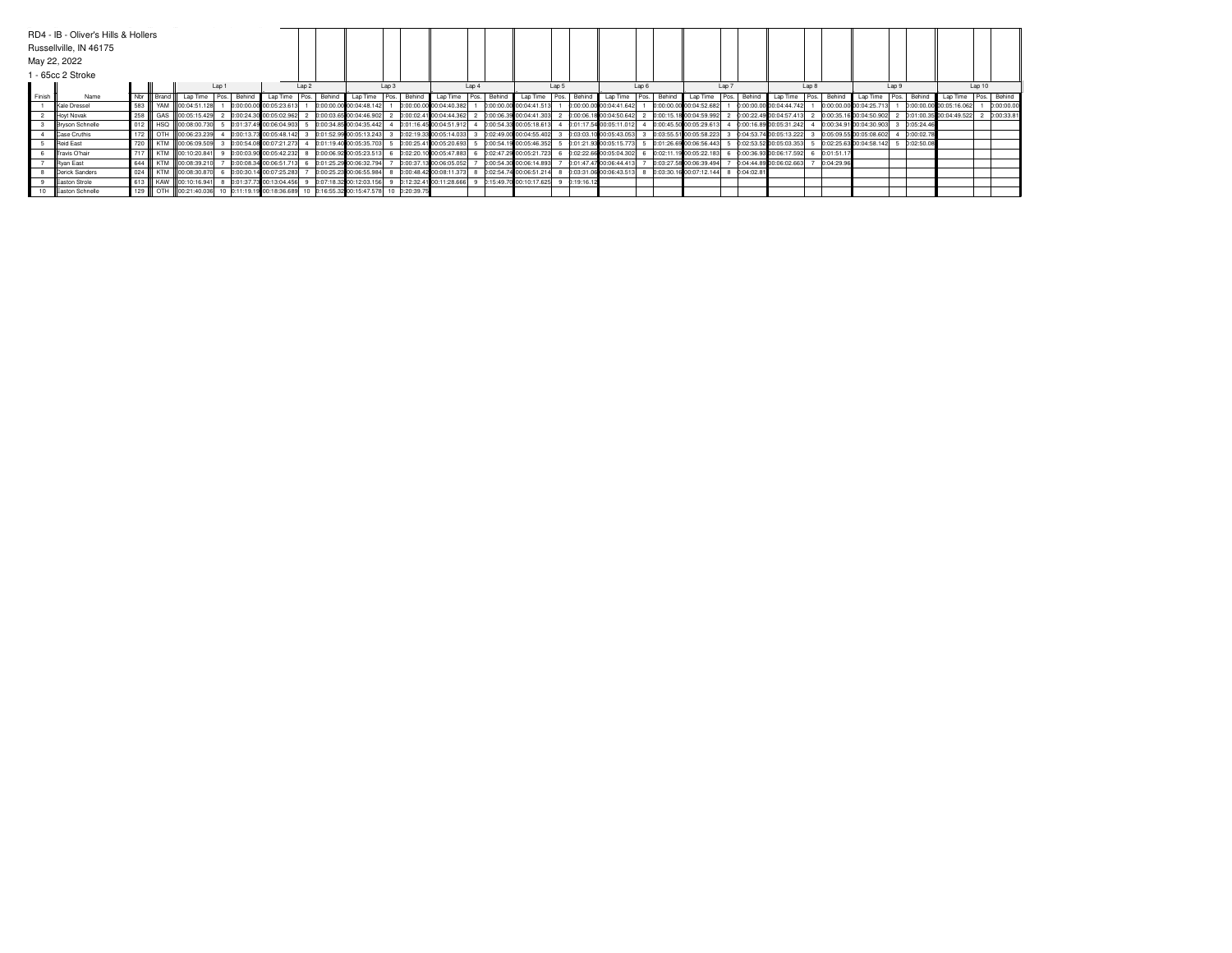|                   | RD4 - IB - Oliver's Hills & Hollers |         |           |                                                                                |  |       |                           |        |        |                         |  |               |                         |       |        |                           |       |            |                         |       |        |                         |             |                         |  |              |                                      |  |            |                         |  |                   |
|-------------------|-------------------------------------|---------|-----------|--------------------------------------------------------------------------------|--|-------|---------------------------|--------|--------|-------------------------|--|---------------|-------------------------|-------|--------|---------------------------|-------|------------|-------------------------|-------|--------|-------------------------|-------------|-------------------------|--|--------------|--------------------------------------|--|------------|-------------------------|--|-------------------|
|                   | Russellville, IN 46175              |         |           |                                                                                |  |       |                           |        |        |                         |  |               |                         |       |        |                           |       |            |                         |       |        |                         |             |                         |  |              |                                      |  |            |                         |  |                   |
|                   | May 22, 2022                        |         |           |                                                                                |  |       |                           |        |        |                         |  |               |                         |       |        |                           |       |            |                         |       |        |                         |             |                         |  |              |                                      |  |            |                         |  |                   |
| 1 - 65cc 2 Stroke |                                     |         |           |                                                                                |  |       |                           |        |        |                         |  |               |                         |       |        |                           |       |            |                         |       |        |                         |             |                         |  |              |                                      |  |            |                         |  |                   |
|                   |                                     |         | Lap 2     |                                                                                |  | Lap 3 |                           |        | Lap 4  |                         |  | Lap 5         |                         | Lap 6 |        |                           | Lap 7 |            |                         | Lap 8 |        |                         | Lap 9       |                         |  | Lap10        |                                      |  |            |                         |  |                   |
| Finish            | Name                                |         | Nbr Brand | Lap Time   Pos. Behind                                                         |  |       | Lap Time                  | I Pos. | Behing | Lap Time                |  | Pos. Behind   | Lap Time   Pos.         |       | Behind | Lap Time Pos.             |       | Behind     | Lap Time Pos.           |       | Behind | Lap Time                | Pos. Behind | Lap Time                |  | Pos. Behind  | Lap Time Pos.   Behind               |  |            | Lap Time Pos. Behind    |  |                   |
|                   | Kale Dressel                        | 583     |           | YAM 00:04:51.128                                                               |  |       | 0:00:00.00 00:05:23.613   |        |        | 0:00:00.00 00:04:48.142 |  |               | 0:00:00.00 00:04:40.382 |       |        | 0:00:00.00 00:04:41.513   |       |            | 0:00:00.00 00:04:41.642 |       |        | 0:00:00.00 00:04:52.682 |             | D:00:00.00000:04:44.742 |  |              | 0:00:00.00 00:04:25.713              |  |            | D:00:00.00 00:05:16.062 |  | <b>0:00:00.00</b> |
|                   | Hoyt Novak                          | 258     |           | GAS 00:05:15.429                                                               |  |       | 0:00:24.30 00:05:02.962   |        |        | 0:00:03.65 00:04:46.902 |  |               | 0:00:02.41 00:04:44.362 |       |        | 2 0:00:06.39 00:04:41.303 |       |            | 0:00:06.18 00:04:50.642 |       |        | 0:00:15.18 00:04:59.992 |             | D:00:22.49 00:04:57.413 |  |              | 0:00:35.16 00:04:50.902              |  |            | D:01:00.35 00:04:49.522 |  | <b>p:00:33.8</b>  |
|                   | <b>Bryson Schnelle</b>              | 012     |           | HSQ 00:08:00.730                                                               |  |       | 0:01:37.49 00:06:04.903   |        |        | 0:00:34.85 00:04:35.442 |  |               | 0:01:16.45 00:04:51.912 |       |        | 4 0:00:54.33 00:05:18.613 |       |            | 0:01:17.54 00:05:11.012 |       |        | 0:00:45.50 00:05:29.61  |             | 0:00:16.89 00:05:31.242 |  |              | 0:00:34.91 00:04:30.903              |  | D:05:24.46 |                         |  |                   |
|                   | Case Cruthis                        |         |           | 172   OTH 00:06:23.239                                                         |  |       | 0:00:13.73 00:05:48.142 3 |        |        | 0:01:52.99 00:05:13.243 |  |               | 0:02:19.33 00:05:14.033 |       |        | 0:02:49.00 00:04:55.402   |       |            | 0:03:03.10 00:05:43.053 |       |        | 0:03:55.51 00:05:58.223 |             | D:04:53.74 00:05:13.222 |  |              | 0:05:09.55 00:05:08.602              |  | D:00:02.78 |                         |  |                   |
|                   | Reid East                           |         |           | 720 KTM 00:06:09.509                                                           |  |       | 0:00:54.08 00:07:21.273   |        |        | 0:01:19.40 00:05:35.703 |  |               | 0:00:25.41 00:05:20.693 |       |        | 5 0:00:54.19 00:05:46.352 |       |            | 0:01:21.93 00:05:15.773 |       |        | 0:01:26.69 00:06:56.443 |             | D:02:53.52 00:05:03.353 |  |              | 0:02:25.63 00:04:58.142 5 0:02:50.08 |  |            |                         |  |                   |
|                   | Travis O'hair                       | l 717 l |           | KTM 00:10:20.841                                                               |  |       | 9 0:00:03.90 00:05:42.232 |        |        | 0:00:06.92 00:05:23.513 |  |               | 0:02:20.10 00:05:47.883 |       |        | 6 0:02:47.29 00:05:21.723 |       |            | 0:02:22.66 00:05:04.302 |       |        | 0:02:11.19 00:05:22.183 |             | D:00:36.93 00:06:17.592 |  | 6 0:01:51.17 |                                      |  |            |                         |  |                   |
|                   | Ryan East                           |         |           | 644 KTM 00:08:39.210                                                           |  |       | 0:00:08.34 00:06:51.713   |        |        | 0:01:25.29 00:06:32.794 |  |               | 0:00:37.13 00:06:05.052 |       |        | 0:00:54.30 00:06:14.893   |       |            | 0:01:47.47 00:06:44.413 |       |        | 0:03:27.58 00:06:39.494 |             | 0:04:44.89 00:06:02.663 |  | 0:04:29.96   |                                      |  |            |                         |  |                   |
|                   | Derick Sanders                      | 024     |           | KTM 00:08:30.870                                                               |  |       | 6 0:00:30.14 00:07:25.283 |        |        | 0:00:25.23 00:06:55.984 |  |               | 0:00:48.42 00:08:11.373 |       |        | 0:02:54.74 00:06:51.214   |       |            | 0:03:31.06:00:06:43.513 |       |        | 0:03:30.16 00:07:12.144 | D:04:02.81  |                         |  |              |                                      |  |            |                         |  |                   |
|                   | Easton Strole                       |         |           | 613 KAW 00:10:16.941 8 0:01:37.73 00:13:04.456                                 |  |       |                           |        |        | 0:07:18.32 00:12:03.156 |  |               | 0:12:32.41 00:11:28.666 |       |        | 9 0:15:49.70 00:10:17.625 |       | 0:19:16.12 |                         |       |        |                         |             |                         |  |              |                                      |  |            |                         |  |                   |
|                   | Easton Schnelle                     |         |           | 129 COL DTH 00:21:40.036 10 0:11:19.19 00:18:36.689 10 0:16:55.32 00:15:47.578 |  |       |                           |        |        |                         |  | 10 0:20:39.75 |                         |       |        |                           |       |            |                         |       |        |                         |             |                         |  |              |                                      |  |            |                         |  |                   |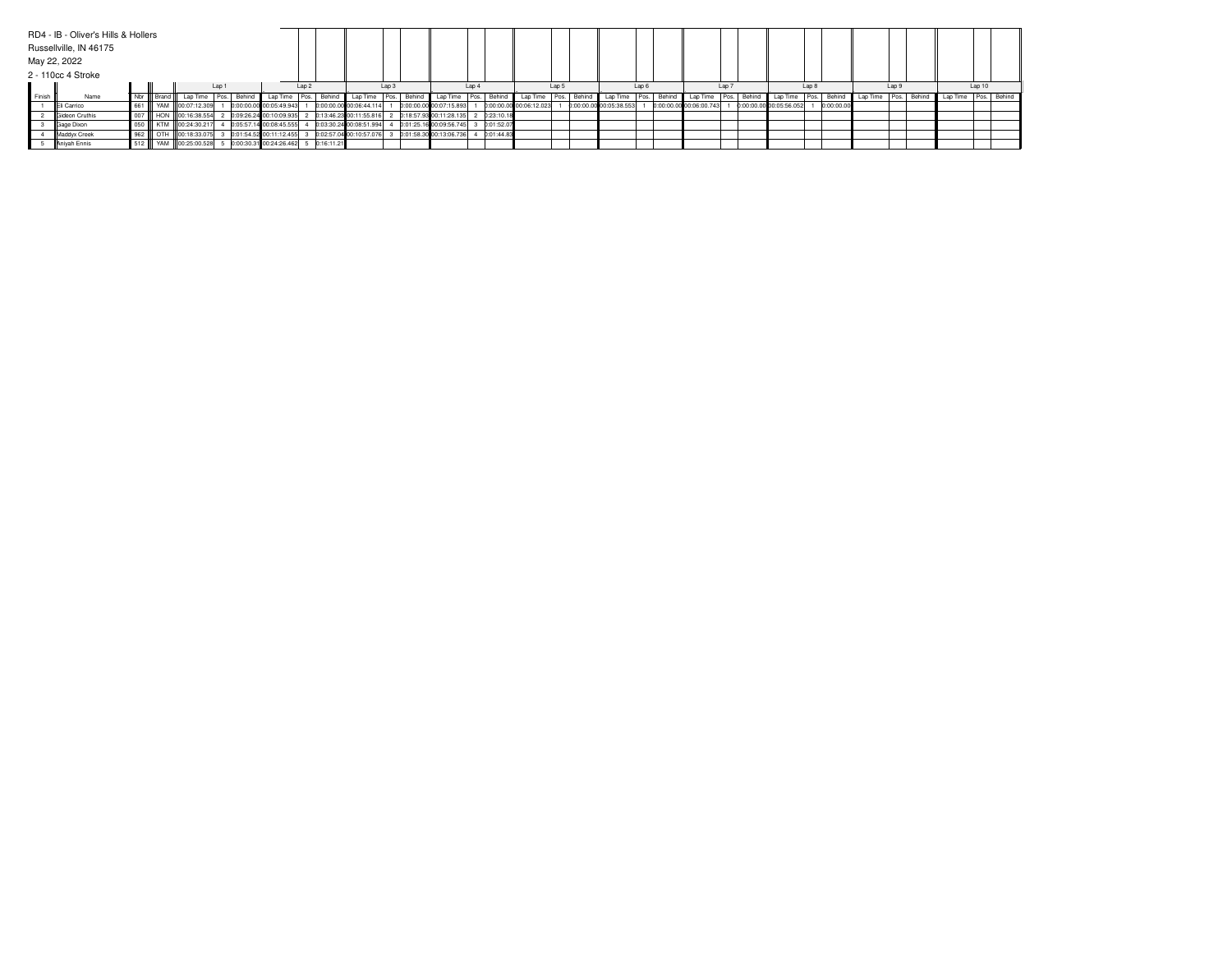|                  | RD4 - IB - Oliver's Hills & Hollers |  |                                         |       |                                        |       |                                                       |       |                           |       |            |                         |       |                          |       |                                            |                  |                         |       |            |       |                                           |       |  |
|------------------|-------------------------------------|--|-----------------------------------------|-------|----------------------------------------|-------|-------------------------------------------------------|-------|---------------------------|-------|------------|-------------------------|-------|--------------------------|-------|--------------------------------------------|------------------|-------------------------|-------|------------|-------|-------------------------------------------|-------|--|
|                  | Russellville, IN 46175              |  |                                         |       |                                        |       |                                                       |       |                           |       |            |                         |       |                          |       |                                            |                  |                         |       |            |       |                                           |       |  |
|                  | May 22, 2022                        |  |                                         |       |                                        |       |                                                       |       |                           |       |            |                         |       |                          |       |                                            |                  |                         |       |            |       |                                           |       |  |
|                  | 2 - 110cc 4 Stroke                  |  |                                         |       |                                        |       |                                                       |       |                           |       |            |                         |       |                          |       |                                            |                  |                         |       |            |       |                                           |       |  |
|                  |                                     |  |                                         | Lap 1 |                                        | Lap 2 |                                                       | Lap 3 |                           | Lap 4 |            |                         | Lap 5 |                          | Lap 6 |                                            | Lap <sub>7</sub> |                         | Lap 8 |            | Lap 9 |                                           | Lap10 |  |
| <b>II</b> Finish | Name                                |  | Nor Brand Lap Time Pos. Behind Lap Time |       |                                        |       | Pos. Behind Lap Time Pos. Behind Lap Time Pos. Behind |       |                           |       |            | Lap Time Pos. Behind    |       | Lap Time   Pos.   Behind |       | Lap Time   Pos.   Behind   Lap Time   Pos. |                  |                         |       | Behind     |       | Lap Time Pos. Behind Lap Time Pos. Behind |       |  |
|                  | Eli Carrico                         |  | 661 VAM 00:07:12.309                    |       | 0:00:00.00 00:05:49.943                |       | 0:00:00.00 00:06:44.114                               |       | 0:00:00.00 00:07:15.893   |       |            | 0:00:00.00 00:06:12.023 |       | 0:00:00.00 00:05:38.553  |       | 0:00:00.00 00:06:00.743                    |                  | 0:00:00.00000:05:56.052 |       | 0:00:00.00 |       |                                           |       |  |
|                  | Gideon Cruthis                      |  | 007   HON 00:16:38.554                  |       | 0:09:26.24 00:10:09.935                |       | 0:13:46.23 00:11:55.816                               |       | 2 0:18:57.93 00:11:28.135 |       | 0:23:10.18 |                         |       |                          |       |                                            |                  |                         |       |            |       |                                           |       |  |
|                  | Gage Dixon                          |  | 050 KTM 00:24:30.217                    |       | 0:05:57.14 00:08:45.555                |       | 0:03:30.24 00:08:51.994                               |       | 0:01:25.16 00:09:56.745   |       | 0:01:52.07 |                         |       |                          |       |                                            |                  |                         |       |            |       |                                           |       |  |
|                  | Maddyx Creek                        |  | 962   OTH 00:18:33.075                  |       | 0:01:54.52 00:11:12.455                |       | 0:02:57.04 00:10:57.076                               |       | 0:01:58.30 00:13:06.736   |       | 0:01:44.83 |                         |       |                          |       |                                            |                  |                         |       |            |       |                                           |       |  |
|                  | Aniyah Ennis                        |  | 512 WAM 00:25:00.528                    |       | 5 0:00:30.31 00:24:26.462 5 0:16:11.21 |       |                                                       |       |                           |       |            |                         |       |                          |       |                                            |                  |                         |       |            |       |                                           |       |  |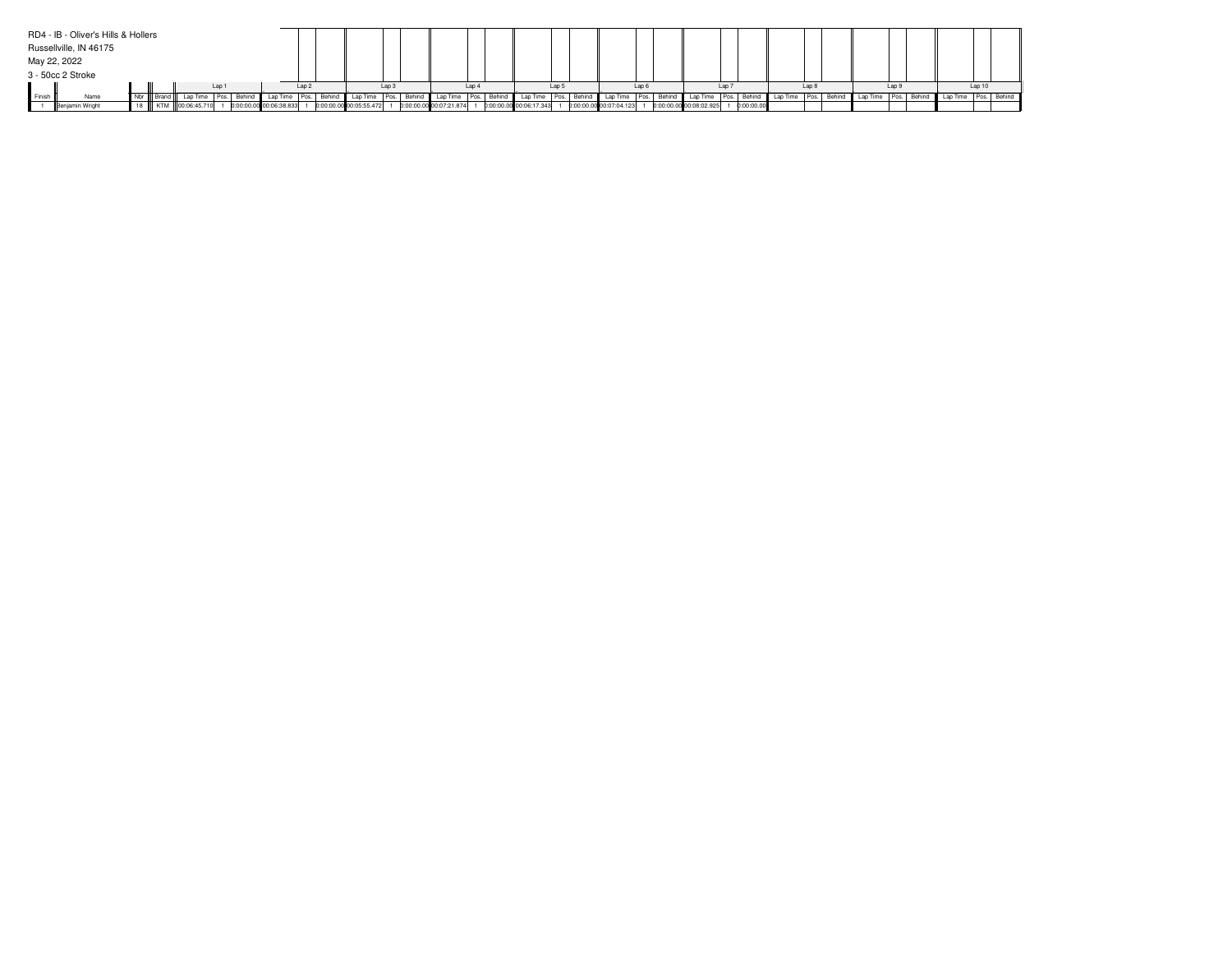|                 | RD4 - IB - Oliver's Hills & Hollers |  |  |                  |                         |  |                  |                         |  |             |                         |  |        |                          |           |                         |       |                         |            |               |  |        |                                           |       |  |  |  |
|-----------------|-------------------------------------|--|--|------------------|-------------------------|--|------------------|-------------------------|--|-------------|-------------------------|--|--------|--------------------------|-----------|-------------------------|-------|-------------------------|------------|---------------|--|--------|-------------------------------------------|-------|--|--|--|
|                 | Russellville, IN 46175              |  |  |                  |                         |  |                  |                         |  |             |                         |  |        |                          |           |                         |       |                         |            |               |  |        |                                           |       |  |  |  |
|                 | May 22, 2022                        |  |  |                  |                         |  |                  |                         |  |             |                         |  |        |                          |           |                         |       |                         |            |               |  |        |                                           |       |  |  |  |
|                 | 3 - 50cc 2 Stroke                   |  |  |                  |                         |  |                  |                         |  |             |                         |  |        |                          |           |                         |       |                         |            |               |  |        |                                           |       |  |  |  |
| Lap 1           |                                     |  |  | Lap <sub>2</sub> |                         |  | Lap <sub>3</sub> |                         |  | Lap         |                         |  | Lap    |                          | $Lap \in$ |                         | Lap 7 |                         | Lap 8      |               |  | Lap 9  |                                           | Lap10 |  |  |  |
| <b>I</b> Finish | Name                                |  |  |                  |                         |  | Behinc           | Lap Time                |  | Pos. Behind | Lap Time   Pos.         |  | Behind | Lap Time   Pos.   Behind |           | Lap Time                |       | Behind Lap Time Pos.    | Behind     | Lap Time Pos. |  | Behind | Lap Time Pos. Behind Lap Time Pos. Behind |       |  |  |  |
|                 | Benjamin Wright                     |  |  | KTM 00:06:45.710 | 0:00:00.00 00:06:38.833 |  |                  | 0:00:00.00 00:05:55.472 |  |             | 0:00:00.00 00:07:21.874 |  |        | 0:00:00.00 00:06:17.343  |           | 0:00:00.00 00:07:04.123 |       | 0:00:00.00 00:08:02.925 | D:00:00.00 |               |  |        |                                           |       |  |  |  |